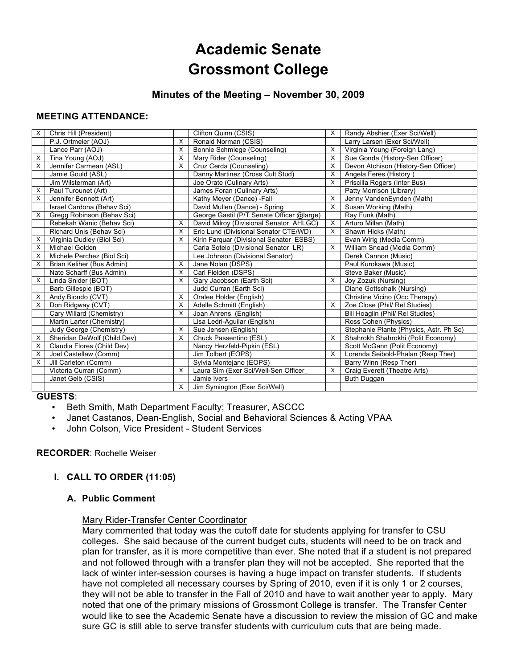# **Academic Senate Grossmont College**

# **Minutes of the Meeting – November 30, 2009**

# **MEETING ATTENDANCE:**

| X | Chris Hill (President)      |   | Clifton Quinn (CSIS)                      | X | Randy Abshier (Exer Sci/Well)           |
|---|-----------------------------|---|-------------------------------------------|---|-----------------------------------------|
|   | P.J. Ortmeier (AOJ)         | X | Ronald Norman (CSIS)                      |   | Larry Larsen (Exer Sci/Well)            |
|   | Lance Parr (AOJ)            | X | Bonnie Schmiege (Counseling)              | X | Virginia Young (Foreign Lang)           |
| X | Tina Young (AOJ)            | X | Mary Rider (Counseling)                   | X | Sue Gonda (History-Sen Officer)         |
| X | Jennifer Carmean (ASL)      | X | Cruz Cerda (Counseling)                   | X | Devon Atchison (History-Sen Officer)    |
|   | Jamie Gould (ASL)           |   | Danny Martinez (Cross Cult Stud)          | X | Angela Feres (History)                  |
|   | Jim Wilsterman (Art)        |   | Joe Orate (Culinary Arts)                 | X | Priscilla Rogers (Inter Bus)            |
| X | Paul Turounet (Art)         |   | James Foran (Culinary Arts)               |   | Patty Morrison (Library)                |
| X | Jennifer Bennett (Art)      |   | Kathy Meyer (Dance) -Fall                 | X | Jenny VandenEynden (Math)               |
|   | Israel Cardona (Behav Sci)  |   | David Mullen (Dance) - Spring             | X | Susan Working (Math)                    |
| X | Gregg Robinson (Behav Sci)  |   | George Gastil (P/T Senate Officer @large) |   | Ray Funk (Math)                         |
|   | Rebekah Wanic (Behav Sci)   | X | David Milroy (Divisional Senator AHLGC)   | X | Arturo Millan (Math)                    |
|   | Richard Unis (Behav Sci)    | X | Eric Lund (Divisional Senator CTE/WD)     | X | Shawn Hicks (Math)                      |
| X | Virginia Dudley (Biol Sci)  | X | Kirin Farquar (Divisional Senator ESBS)   |   | Evan Wirig (Media Comm)                 |
| X | Michael Golden              |   | Carla Sotelo (Divisional Senator LR)      | X | William Snead (Media Comm)              |
| X | Michele Perchez (Biol Sci)  |   | Lee Johnson (Divisional Senator)          |   | Derek Cannon (Music)                    |
| X | Brian Keliher (Bus Admin)   | X | Jane Nolan (DSPS)                         |   | Paul Kurokawa (Music)                   |
|   | Nate Scharff (Bus Admin)    | X | Carl Fielden (DSPS)                       |   | Steve Baker (Music)                     |
| X | Linda Snider (BOT)          | X | Gary Jacobson (Earth Sci)                 | X | Joy Zozuk (Nursing)                     |
|   | Barb Gillespie (BOT)        |   | Judd Curran (Earth Sci)                   |   | Diane Gottschalk (Nursing)              |
| X | Andy Biondo (CVT)           | X | Oralee Holder (English)                   |   | Christine Vicino (Occ Therapy)          |
| X | Don Ridgway (CVT)           | X | Adelle Schmitt (English)                  | X | Zoe Close (Phil/ Rel Studies)           |
|   | Cary Willard (Chemistry)    | X | Joan Ahrens (English)                     |   | Bill Hoaglin (Phil/ Rel Studies)        |
|   | Martin Larter (Chemistry)   |   | Lisa Ledri-Aquilar (English)              |   | Ross Cohen (Physics)                    |
|   | Judy George (Chemistry)     | X | Sue Jensen (English)                      |   | Stephanie Plante (Physics, Astr. Ph Sc) |
| X | Sheridan DeWolf (Child Dev) | X | Chuck Passentino (ESL)                    | X | Shahrokh Shahrokhi (Polit Economy)      |
| х | Claudia Flores (Child Dev)  |   | Nancy Herzfeld-Pipkin (ESL)               |   | Scott McGann (Polit Economy)            |
| X | Joel Castellaw (Comm)       |   | Jim Tolbert (EOPS)                        | X | Lorenda Seibold-Phalan (Resp Ther)      |
| X | Jill Carleton (Comm)        |   | Sylvia Montejano (EOPS)                   |   | Barry Winn (Resp Ther)                  |
|   | Victoria Curran (Comm)      | X | Laura Sim (Exer Sci/Well-Sen Officer      | X | Craig Everett (Theatre Arts)            |
|   | Janet Gelb (CSIS)           |   | Jamie Ivers                               |   | Buth Duggan                             |
|   |                             | X | Jim Symington (Exer Sci/Well)             |   |                                         |

#### **GUESTS**:

- Beth Smith, Math Department Faculty; Treasurer, ASCCC
- Janet Castanos, Dean-English, Social and Behavioral Sciences & Acting VPAA
- John Colson, Vice President Student Services

#### **RECORDER**: Rochelle Weiser

#### **I. CALL TO ORDER (11:05)**

#### **A. Public Comment**

#### Mary Rider-Transfer Center Coordinator

Mary commented that today was the cutoff date for students applying for transfer to CSU colleges. She said because of the current budget cuts, students will need to be on track and plan for transfer, as it is more competitive than ever. She noted that if a student is not prepared and not followed through with a transfer plan they will not be accepted. She reported that the lack of winter inter-session courses is having a huge impact on transfer students. If students have not completed all necessary courses by Spring of 2010, even if it is only 1 or 2 courses, they will not be able to transfer in the Fall of 2010 and have to wait another year to apply. Mary noted that one of the primary missions of Grossmont College is transfer. The Transfer Center would like to see the Academic Senate have a discussion to review the mission of GC and make sure GC is still able to serve transfer students with curriculum cuts that are being made.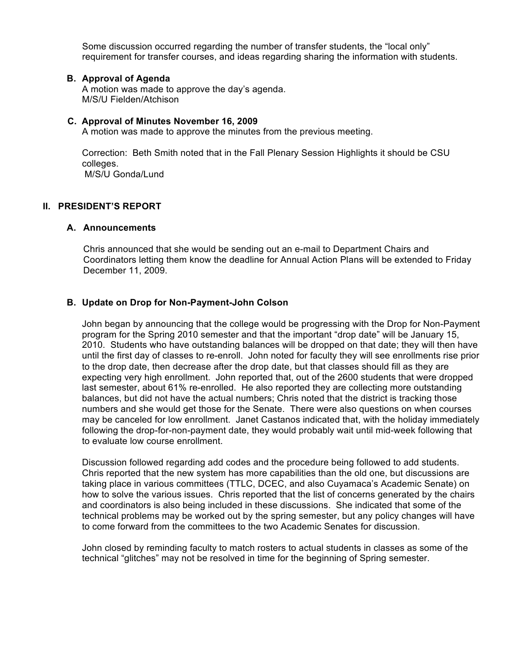Some discussion occurred regarding the number of transfer students, the "local only" requirement for transfer courses, and ideas regarding sharing the information with students.

#### **B. Approval of Agenda**

A motion was made to approve the day's agenda. M/S/U Fielden/Atchison

#### **C. Approval of Minutes November 16, 2009**

A motion was made to approve the minutes from the previous meeting.

Correction: Beth Smith noted that in the Fall Plenary Session Highlights it should be CSU colleges.

M/S/U Gonda/Lund

# **II. PRESIDENT'S REPORT**

#### **A. Announcements**

Chris announced that she would be sending out an e-mail to Department Chairs and Coordinators letting them know the deadline for Annual Action Plans will be extended to Friday December 11, 2009.

#### **B. Update on Drop for Non-Payment-John Colson**

John began by announcing that the college would be progressing with the Drop for Non-Payment program for the Spring 2010 semester and that the important "drop date" will be January 15, 2010. Students who have outstanding balances will be dropped on that date; they will then have until the first day of classes to re-enroll. John noted for faculty they will see enrollments rise prior to the drop date, then decrease after the drop date, but that classes should fill as they are expecting very high enrollment. John reported that, out of the 2600 students that were dropped last semester, about 61% re-enrolled. He also reported they are collecting more outstanding balances, but did not have the actual numbers; Chris noted that the district is tracking those numbers and she would get those for the Senate. There were also questions on when courses may be canceled for low enrollment. Janet Castanos indicated that, with the holiday immediately following the drop-for-non-payment date, they would probably wait until mid-week following that to evaluate low course enrollment.

Discussion followed regarding add codes and the procedure being followed to add students. Chris reported that the new system has more capabilities than the old one, but discussions are taking place in various committees (TTLC, DCEC, and also Cuyamaca's Academic Senate) on how to solve the various issues. Chris reported that the list of concerns generated by the chairs and coordinators is also being included in these discussions. She indicated that some of the technical problems may be worked out by the spring semester, but any policy changes will have to come forward from the committees to the two Academic Senates for discussion.

John closed by reminding faculty to match rosters to actual students in classes as some of the technical "glitches" may not be resolved in time for the beginning of Spring semester.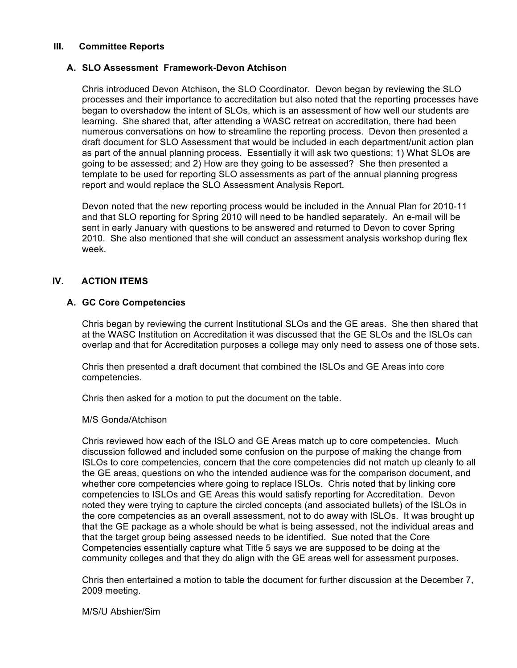# **III. Committee Reports**

# **A. SLO Assessment Framework-Devon Atchison**

Chris introduced Devon Atchison, the SLO Coordinator. Devon began by reviewing the SLO processes and their importance to accreditation but also noted that the reporting processes have began to overshadow the intent of SLOs, which is an assessment of how well our students are learning. She shared that, after attending a WASC retreat on accreditation, there had been numerous conversations on how to streamline the reporting process. Devon then presented a draft document for SLO Assessment that would be included in each department/unit action plan as part of the annual planning process. Essentially it will ask two questions; 1) What SLOs are going to be assessed; and 2) How are they going to be assessed? She then presented a template to be used for reporting SLO assessments as part of the annual planning progress report and would replace the SLO Assessment Analysis Report.

Devon noted that the new reporting process would be included in the Annual Plan for 2010-11 and that SLO reporting for Spring 2010 will need to be handled separately. An e-mail will be sent in early January with questions to be answered and returned to Devon to cover Spring 2010. She also mentioned that she will conduct an assessment analysis workshop during flex week.

# **IV. ACTION ITEMS**

# **A. GC Core Competencies**

Chris began by reviewing the current Institutional SLOs and the GE areas. She then shared that at the WASC Institution on Accreditation it was discussed that the GE SLOs and the ISLOs can overlap and that for Accreditation purposes a college may only need to assess one of those sets.

Chris then presented a draft document that combined the ISLOs and GE Areas into core competencies.

Chris then asked for a motion to put the document on the table.

M/S Gonda/Atchison

Chris reviewed how each of the ISLO and GE Areas match up to core competencies. Much discussion followed and included some confusion on the purpose of making the change from ISLOs to core competencies, concern that the core competencies did not match up cleanly to all the GE areas, questions on who the intended audience was for the comparison document, and whether core competencies where going to replace ISLOs. Chris noted that by linking core competencies to ISLOs and GE Areas this would satisfy reporting for Accreditation. Devon noted they were trying to capture the circled concepts (and associated bullets) of the ISLOs in the core competencies as an overall assessment, not to do away with ISLOs. It was brought up that the GE package as a whole should be what is being assessed, not the individual areas and that the target group being assessed needs to be identified. Sue noted that the Core Competencies essentially capture what Title 5 says we are supposed to be doing at the community colleges and that they do align with the GE areas well for assessment purposes.

Chris then entertained a motion to table the document for further discussion at the December 7, 2009 meeting.

M/S/U Abshier/Sim